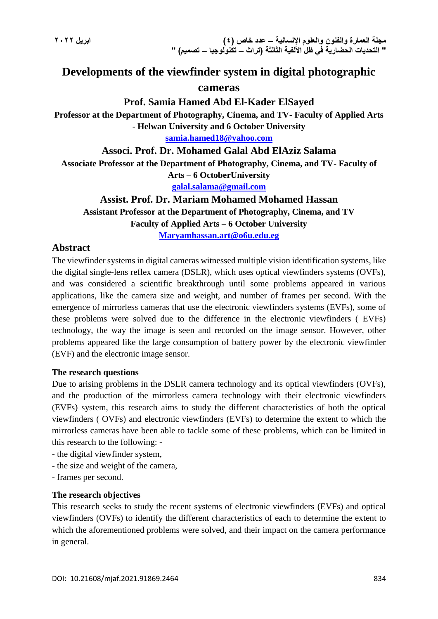# **Developments of the viewfinder system in digital photographic**

### **cameras**

### **Prof. Samia Hamed Abd El-Kader ElSayed**

**Professor at the Department of Photography, Cinema, and TV- Faculty of Applied Arts - Helwan University and 6 October University**

**[samia.hamed18@yahoo.com](mailto:samia.hamed18@yahoo.com)**

### **Associ. Prof. Dr. Mohamed Galal Abd ElAziz Salama**

**Associate Professor at the Department of Photography, Cinema, and TV- Faculty of Arts – 6 OctoberUniversity**

**[galal.salama@gmail.com](mailto:galal.salama@gmail.com)**

# **Assist. Prof. Dr. Mariam Mohamed Mohamed Hassan**

**Assistant Professor at the Department of Photography, Cinema, and TV Faculty of Applied Arts – 6 October University**

**[Maryamhassan.art@o6u.edu.eg](mailto:Maryamhassan.art@o6u.edu.eg)**

### **Abstract**

The viewfinder systems in digital cameras witnessed multiple vision identification systems, like the digital single-lens reflex camera (DSLR), which uses optical viewfinders systems (OVFs), and was considered a scientific breakthrough until some problems appeared in various applications, like the camera size and weight, and number of frames per second. With the emergence of mirrorless cameras that use the electronic viewfinders systems (EVFs), some of these problems were solved due to the difference in the electronic viewfinders ( EVFs) technology, the way the image is seen and recorded on the image sensor. However, other problems appeared like the large consumption of battery power by the electronic viewfinder (EVF) and the electronic image sensor.

### **The research questions**

Due to arising problems in the DSLR camera technology and its optical viewfinders (OVFs), and the production of the mirrorless camera technology with their electronic viewfinders (EVFs) system, this research aims to study the different characteristics of both the optical viewfinders ( OVFs) and electronic viewfinders (EVFs) to determine the extent to which the mirrorless cameras have been able to tackle some of these problems, which can be limited in this research to the following: -

- the digital viewfinder system,
- the size and weight of the camera,
- frames per second.

#### **The research objectives**

This research seeks to study the recent systems of electronic viewfinders (EVFs) and optical viewfinders (OVFs) to identify the different characteristics of each to determine the extent to which the aforementioned problems were solved, and their impact on the camera performance in general.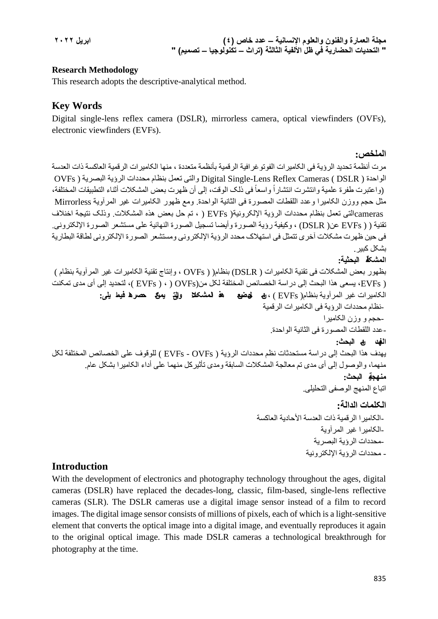### **Research Methodology**

This research adopts the descriptive-analytical method.

# **Key Words**

Digital single-lens reflex camera (DSLR), mirrorless camera, optical viewfinders (OVFs), electronic viewfinders (EVFs).

```
الملخص:
```
مرت أنظمة تحديد الرؤية فى الکاميرات الفوتوغرافية الرقمية بأنظمة متعددة ، منها الکاميرات الرقمية العاکسة ذات العدسة الواحدة ( DSLR ( Cameras Reflex Lens-Single Digital والتى تعمل بنظام محددات الرؤية البصرية ( OVFs (واعتبرت طفرة علمية وانتشرت انتشاراً واسعاً في ذلك الوقت، إلى أن ظهرت بعض المشكلات أثناء التطبيقات المختلفة، مثل حجم ووزن الکاميرا وعدد اللقطات المصورة فى الثانية الواحدة. ومع ظهور الکاميرات غير المرآوية Mirrorless camerasالتى تعمل بنظام محددات الرؤية اإللکرونية( EVFs ) ، تم حل بعض هذه المشکالت. وذلک نتيجة اخنالف تقنية ( ( EVFs عن( DSLR (، وکيفية رؤية الصورة وأيضا تسجيل الصورة النهائية على مستشعر الصورة اإللکترونى. فى حين ظهرت مشکالت آخرى تتمثل فى استهالک محدد الرؤية اإللکترونى ومستشعر الصورة اإللکترونى لطاقة البطارية بشکل کبير. **المشکلة البحثية:**

```
بظهور بعض المشکالت فى تقنية الکاميرات ( DSLR (بنظام( ( OVFs ، وإنتاج تقنية الکاميرات غير المرآوية بنظام )
( EVFs، يسعى هذا البحث إلى دراسة الخصائص المختلفة لکل من(OVFs ) ، ) EVFs( ، لتحديد إلى أى مدى تمکنت 
               الکاميرات غير المرآوية بنظام( EVFs ( ، من حل بعض هذه المشکالت والتى يمکن حصرها فيما يلى:
                                                                                      -حجم و وزن الکاميرا-
                                                                   نظام محددات الرؤية فى الکاميرات الرقمية
                                                                     -عدد اللقطات المصورة فى الثانية الواحدة.
                                                                                           الهدف من البحث:
يهدف هذا البحث إلى دراسة مستحدثات نظم محددات الرؤية ( OVFs - EVFs ( للوقوف على الخصائص المختلفة لکل 
          منهما، والوصول إلى أى مدى تم معالجة المشکالت السابقة ومدى تأثيرکل منهما على أداء الکاميرا بشکل عام.
                                                                                             منهجية البحث:
                                                                                اتباع المنهج الوصفى التحليلى.
                                                                                           الکلمات الدالة:
                                                                                   محددات الرؤية البصرية-
                                                                                      الکاميرا غير المرآوية-
                                                                 -الكامير ا الر قمية ذات العدسة الأحادية العاكسة
```
# - محددات الرؤية اإللکترونية-

# **Introduction**

With the development of electronics and photography technology throughout the ages, digital cameras (DSLR) have replaced the decades-long, classic, film-based, single-lens reflective cameras (SLR). The DSLR cameras use a digital image sensor instead of a film to record images. The digital image sensor consists of millions of pixels, each of which is a light-sensitive element that converts the optical image into a digital image, and eventually reproduces it again to the original optical image. This made DSLR cameras a technological breakthrough for photography at the time.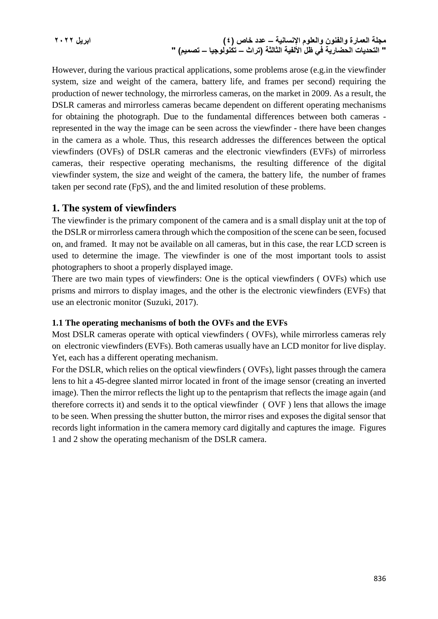**مجلة العمارة والفنون والعلوم اإلنسانية – عدد خاص )4( ابريل 2022 " التحديات الحضارية في ظل األلفية الثالثة )تراث – تكنولوجيا – تصميم( "**

However, during the various practical applications, some problems arose (e.g.in the viewfinder system, size and weight of the camera, battery life, and frames per second) requiring the production of newer technology, the mirrorless cameras, on the market in 2009. As a result, the DSLR cameras and mirrorless cameras became dependent on different operating mechanisms for obtaining the photograph. Due to the fundamental differences between both cameras represented in the way the image can be seen across the viewfinder - there have been changes in the camera as a whole. Thus, this research addresses the differences between the optical viewfinders (OVFs) of DSLR cameras and the electronic viewfinders (EVFs) of mirrorless cameras, their respective operating mechanisms, the resulting difference of the digital viewfinder system, the size and weight of the camera, the battery life, the number of frames taken per second rate (FpS), and the and limited resolution of these problems.

### **1. The system of viewfinders**

The viewfinder is the primary component of the camera and is a small display unit at the top of the DSLR or mirrorless camera through which the composition of the scene can be seen, focused on, and framed. It may not be available on all cameras, but in this case, the rear LCD screen is used to determine the image. The viewfinder is one of the most important tools to assist photographers to shoot a properly displayed image.

There are two main types of viewfinders: One is the optical viewfinders ( OVFs) which use prisms and mirrors to display images, and the other is the electronic viewfinders (EVFs) that use an electronic monitor (Suzuki, 2017).

#### **1.1 The operating mechanisms of both the OVFs and the EVFs**

Most DSLR cameras operate with optical viewfinders ( OVFs), while mirrorless cameras rely on electronic viewfinders (EVFs). Both cameras usually have an LCD monitor for live display. Yet, each has a different operating mechanism.

For the DSLR, which relies on the optical viewfinders ( OVFs), light passes through the camera lens to hit a 45-degree slanted mirror located in front of the image sensor (creating an inverted image). Then the mirror reflects the light up to the pentaprism that reflects the image again (and therefore corrects it) and sends it to the optical viewfinder ( OVF ) lens that allows the image to be seen. When pressing the shutter button, the mirror rises and exposes the digital sensor that records light information in the camera memory card digitally and captures the image. Figures 1 and 2 show the operating mechanism of the DSLR camera.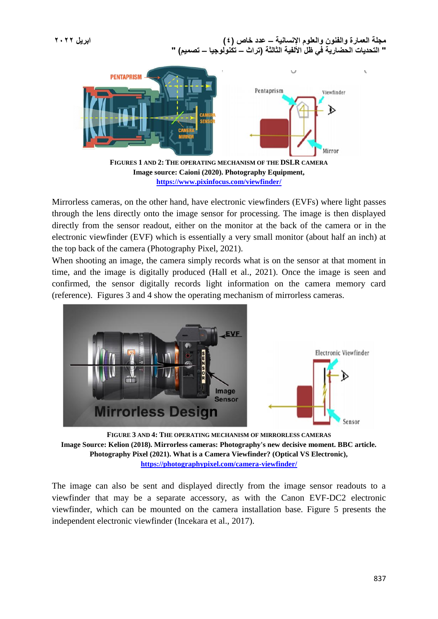

**<https://www.pixinfocus.com/viewfinder/>**

Mirrorless cameras, on the other hand, have electronic viewfinders (EVFs) where light passes through the lens directly onto the image sensor for processing. The image is then displayed directly from the sensor readout, either on the monitor at the back of the camera or in the electronic viewfinder (EVF) which is essentially a very small monitor (about half an inch) at the top back of the camera (Photography Pixel, 2021).

When shooting an image, the camera simply records what is on the sensor at that moment in time, and the image is digitally produced (Hall et al., 2021). Once the image is seen and confirmed, the sensor digitally records light information on the camera memory card (reference). Figures 3 and 4 show the operating mechanism of mirrorless cameras.



**FIGURE 3 AND 4: THE OPERATING MECHANISM OF MIRRORLESS CAMERAS Image Source: Kelion (2018). Mirrorless cameras: Photography's new decisive moment. BBC article. Photography Pixel (2021). What is a Camera Viewfinder? (Optical VS Electronic), <https://photographypixel.com/camera-viewfinder/>**

The image can also be sent and displayed directly from the image sensor readouts to a viewfinder that may be a separate accessory, as with the Canon EVF-DC2 electronic viewfinder, which can be mounted on the camera installation base. Figure 5 presents the independent electronic viewfinder (Incekara et al., 2017).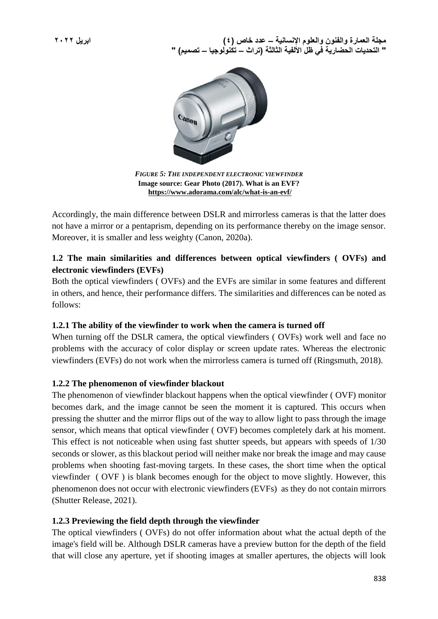

*FIGURE 5: THE INDEPENDENT ELECTRONIC VIEWFINDER* **Image source: Gear Photo (2017). What is an EVF? <https://www.adorama.com/alc/what-is-an-evf/>**

Accordingly, the main difference between DSLR and mirrorless cameras is that the latter does not have a mirror or a pentaprism, depending on its performance thereby on the image sensor. Moreover, it is smaller and less weighty (Canon, 2020a).

### **1.2 The main similarities and differences between optical viewfinders ( OVFs) and electronic viewfinders (EVFs)**

Both the optical viewfinders ( OVFs) and the EVFs are similar in some features and different in others, and hence, their performance differs. The similarities and differences can be noted as follows:

### **1.2.1 The ability of the viewfinder to work when the camera is turned off**

When turning off the DSLR camera, the optical viewfinders (OVFs) work well and face no problems with the accuracy of color display or screen update rates. Whereas the electronic viewfinders (EVFs) do not work when the mirrorless camera is turned off (Ringsmuth, 2018).

### **1.2.2 The phenomenon of viewfinder blackout**

The phenomenon of viewfinder blackout happens when the optical viewfinder ( OVF) monitor becomes dark, and the image cannot be seen the moment it is captured. This occurs when pressing the shutter and the mirror flips out of the way to allow light to pass through the image sensor, which means that optical viewfinder ( OVF) becomes completely dark at his moment. This effect is not noticeable when using fast shutter speeds, but appears with speeds of 1/30 seconds or slower, as this blackout period will neither make nor break the image and may cause problems when shooting fast-moving targets. In these cases, the short time when the optical viewfinder ( OVF ) is blank becomes enough for the object to move slightly. However, this phenomenon does not occur with electronic viewfinders (EVFs) as they do not contain mirrors (Shutter Release, 2021).

### **1.2.3 Previewing the field depth through the viewfinder**

The optical viewfinders ( OVFs) do not offer information about what the actual depth of the image's field will be. Although DSLR cameras have a preview button for the depth of the field that will close any aperture, yet if shooting images at smaller apertures, the objects will look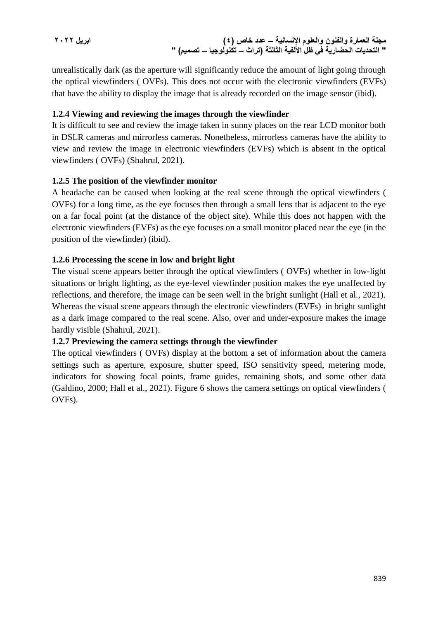**مجلة العمارة والفنون والعلوم اإلنسانية – عدد خاص )4( ابريل 2022 " التحديات الحضارية في ظل األلفية الثالثة )تراث – تكنولوجيا – تصميم( "**

unrealistically dark (as the aperture will significantly reduce the amount of light going through the optical viewfinders ( OVFs). This does not occur with the electronic viewfinders (EVFs) that have the ability to display the image that is already recorded on the image sensor (ibid).

### **1.2.4 Viewing and reviewing the images through the viewfinder**

It is difficult to see and review the image taken in sunny places on the rear LCD monitor both in DSLR cameras and mirrorless cameras. Nonetheless, mirrorless cameras have the ability to view and review the image in electronic viewfinders (EVFs) which is absent in the optical viewfinders ( OVFs) (Shahrul, 2021).

### **1.2.5 The position of the viewfinder monitor**

A headache can be caused when looking at the real scene through the optical viewfinders ( OVFs) for a long time, as the eye focuses then through a small lens that is adjacent to the eye on a far focal point (at the distance of the object site). While this does not happen with the electronic viewfinders (EVFs) as the eye focuses on a small monitor placed near the eye (in the position of the viewfinder) (ibid).

### **1.2.6 Processing the scene in low and bright light**

The visual scene appears better through the optical viewfinders ( OVFs) whether in low-light situations or bright lighting, as the eye-level viewfinder position makes the eye unaffected by reflections, and therefore, the image can be seen well in the bright sunlight (Hall et al., 2021). Whereas the visual scene appears through the electronic viewfinders (EVFs) in bright sunlight as a dark image compared to the real scene. Also, over and under-exposure makes the image hardly visible (Shahrul, 2021).

### **1.2.7 Previewing the camera settings through the viewfinder**

The optical viewfinders ( OVFs) display at the bottom a set of information about the camera settings such as aperture, exposure, shutter speed, ISO sensitivity speed, metering mode, indicators for showing focal points, frame guides, remaining shots, and some other data (Galdino, 2000; Hall et al., 2021). Figure 6 shows the camera settings on optical viewfinders ( OVFs).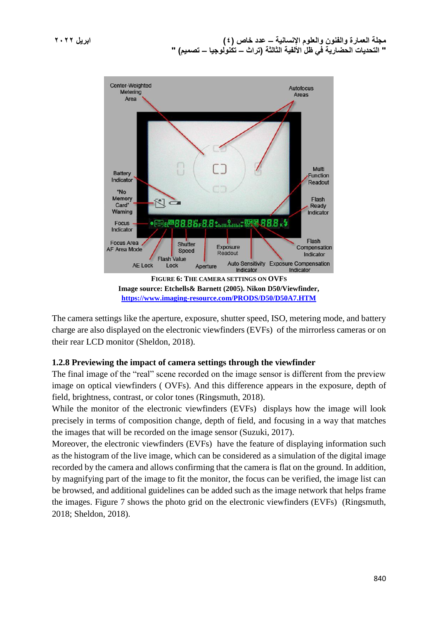

The camera settings like the aperture, exposure, shutter speed, ISO, metering mode, and battery charge are also displayed on the electronic viewfinders (EVFs) of the mirrorless cameras or on their rear LCD monitor (Sheldon, 2018).

### **1.2.8 Previewing the impact of camera settings through the viewfinder**

The final image of the "real" scene recorded on the image sensor is different from the preview image on optical viewfinders ( OVFs). And this difference appears in the exposure, depth of field, brightness, contrast, or color tones (Ringsmuth, 2018).

While the monitor of the electronic viewfinders (EVFs) displays how the image will look precisely in terms of composition change, depth of field, and focusing in a way that matches the images that will be recorded on the image sensor (Suzuki, 2017).

Moreover, the electronic viewfinders (EVFs) have the feature of displaying information such as the histogram of the live image, which can be considered as a simulation of the digital image recorded by the camera and allows confirming that the camera is flat on the ground. In addition, by magnifying part of the image to fit the monitor, the focus can be verified, the image list can be browsed, and additional guidelines can be added such as the image network that helps frame the images. Figure 7 shows the photo grid on the electronic viewfinders (EVFs) (Ringsmuth, 2018; Sheldon, 2018).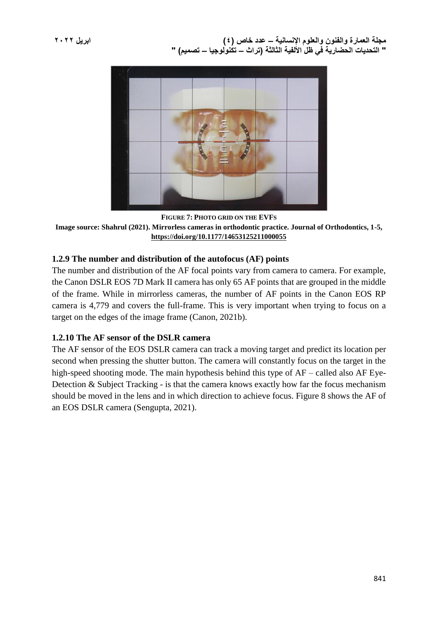

**FIGURE 7: PHOTO GRID ON THE EVFS Image source: Shahrul (2021). Mirrorless cameras in orthodontic practice. Journal of Orthodontics, 1-5, <https://doi.org/10.1177/14653125211000055>**

### **1.2.9 The number and distribution of the autofocus (AF) points**

The number and distribution of the AF focal points vary from camera to camera. For example, the Canon DSLR EOS 7D Mark II camera has only 65 AF points that are grouped in the middle of the frame. While in mirrorless cameras, the number of AF points in the Canon EOS RP camera is 4,779 and covers the full-frame. This is very important when trying to focus on a target on the edges of the image frame (Canon, 2021b).

### **1.2.10 The AF sensor of the DSLR camera**

The AF sensor of the EOS DSLR camera can track a moving target and predict its location per second when pressing the shutter button. The camera will constantly focus on the target in the high-speed shooting mode. The main hypothesis behind this type of AF – called also AF Eye-Detection & Subject Tracking - is that the camera knows exactly how far the focus mechanism should be moved in the lens and in which direction to achieve focus. Figure 8 shows the AF of an EOS DSLR camera (Sengupta, 2021).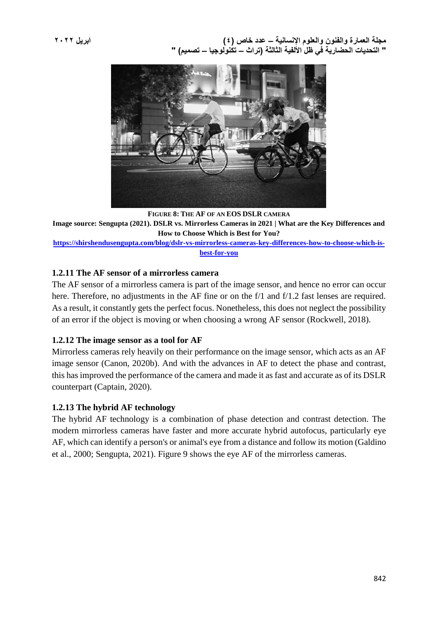

**FIGURE 8: THE AF OF AN EOS DSLR CAMERA Image source: Sengupta (2021). DSLR vs. Mirrorless Cameras in 2021 | What are the Key Differences and How to Choose Which is Best for You? [https://shirshendusengupta.com/blog/dslr-vs-mirrorless-cameras-key-differences-how-to-choose-which-is-](https://shirshendusengupta.com/blog/dslr-vs-mirrorless-cameras-key-differences-how-to-choose-which-is-best-for-you)**

#### **[best-for-you](https://shirshendusengupta.com/blog/dslr-vs-mirrorless-cameras-key-differences-how-to-choose-which-is-best-for-you)**

### **1.2.11 The AF sensor of a mirrorless camera**

The AF sensor of a mirrorless camera is part of the image sensor, and hence no error can occur here. Therefore, no adjustments in the AF fine or on the f/1 and f/1.2 fast lenses are required. As a result, it constantly gets the perfect focus. Nonetheless, this does not neglect the possibility of an error if the object is moving or when choosing a wrong AF sensor (Rockwell, 2018).

#### **1.2.12 The image sensor as a tool for AF**

Mirrorless cameras rely heavily on their performance on the image sensor, which acts as an AF image sensor (Canon, 2020b). And with the advances in AF to detect the phase and contrast, this has improved the performance of the camera and made it as fast and accurate as of its DSLR counterpart (Captain, 2020).

### **1.2.13 The hybrid AF technology**

The hybrid AF technology is a combination of phase detection and contrast detection. The modern mirrorless cameras have faster and more accurate hybrid autofocus, particularly eye AF, which can identify a person's or animal's eye from a distance and follow its motion (Galdino et al., 2000; Sengupta, 2021). Figure 9 shows the eye AF of the mirrorless cameras.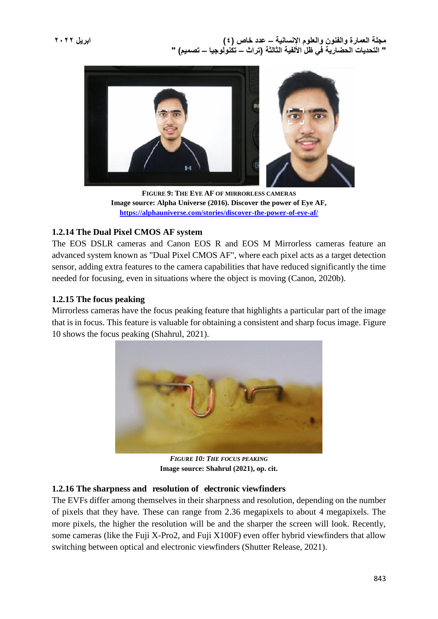

**FIGURE 9: THE EYE AF OF MIRRORLESS CAMERAS Image source: Alpha Universe (2016). Discover the power of Eye AF, <https://alphauniverse.com/stories/discover-the-power-of-eye-af/>**

### **1.2.14 The Dual Pixel CMOS AF system**

The EOS DSLR cameras and Canon EOS R and EOS M Mirrorless cameras feature an advanced system known as "Dual Pixel CMOS AF", where each pixel acts as a target detection sensor, adding extra features to the camera capabilities that have reduced significantly the time needed for focusing, even in situations where the object is moving (Canon, 2020b).

### **1.2.15 The focus peaking**

Mirrorless cameras have the focus peaking feature that highlights a particular part of the image that is in focus. This feature is valuable for obtaining a consistent and sharp focus image. Figure 10 shows the focus peaking (Shahrul, 2021).



*FIGURE 10: THE FOCUS PEAKING* **Image source: Shahrul (2021), op. cit.**

### **1.2.16 The sharpness and resolution of electronic viewfinders**

The EVFs differ among themselves in their sharpness and resolution, depending on the number of pixels that they have. These can range from 2.36 megapixels to about 4 megapixels. The more pixels, the higher the resolution will be and the sharper the screen will look. Recently, some cameras (like the Fuji X-Pro2, and Fuji X100F) even offer hybrid viewfinders that allow switching between optical and electronic viewfinders (Shutter Release, 2021).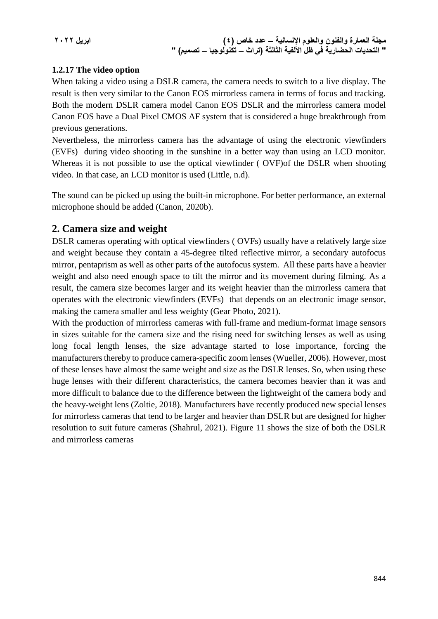## **1.2.17 The video option**

When taking a video using a DSLR camera, the camera needs to switch to a live display. The result is then very similar to the Canon EOS mirrorless camera in terms of focus and tracking. Both the modern DSLR camera model Canon EOS DSLR and the mirrorless camera model Canon EOS have a Dual Pixel CMOS AF system that is considered a huge breakthrough from previous generations.

Nevertheless, the mirrorless camera has the advantage of using the electronic viewfinders (EVFs) during video shooting in the sunshine in a better way than using an LCD monitor. Whereas it is not possible to use the optical viewfinder ( OVF)of the DSLR when shooting video. In that case, an LCD monitor is used (Little, n.d).

The sound can be picked up using the built-in microphone. For better performance, an external microphone should be added (Canon, 2020b).

# **2. Camera size and weight**

DSLR cameras operating with optical viewfinders ( OVFs) usually have a relatively large size and weight because they contain a 45-degree tilted reflective mirror, a secondary autofocus mirror, pentaprism as well as other parts of the autofocus system. All these parts have a heavier weight and also need enough space to tilt the mirror and its movement during filming. As a result, the camera size becomes larger and its weight heavier than the mirrorless camera that operates with the electronic viewfinders (EVFs) that depends on an electronic image sensor, making the camera smaller and less weighty (Gear Photo, 2021).

With the production of mirrorless cameras with full-frame and medium-format image sensors in sizes suitable for the camera size and the rising need for switching lenses as well as using long focal length lenses, the size advantage started to lose importance, forcing the manufacturers thereby to produce camera-specific zoom lenses (Wueller, 2006). However, most of these lenses have almost the same weight and size as the DSLR lenses. So, when using these huge lenses with their different characteristics, the camera becomes heavier than it was and more difficult to balance due to the difference between the lightweight of the camera body and the heavy-weight lens (Zoltie, 2018). Manufacturers have recently produced new special lenses for mirrorless cameras that tend to be larger and heavier than DSLR but are designed for higher resolution to suit future cameras (Shahrul, 2021). Figure 11 shows the size of both the DSLR and mirrorless cameras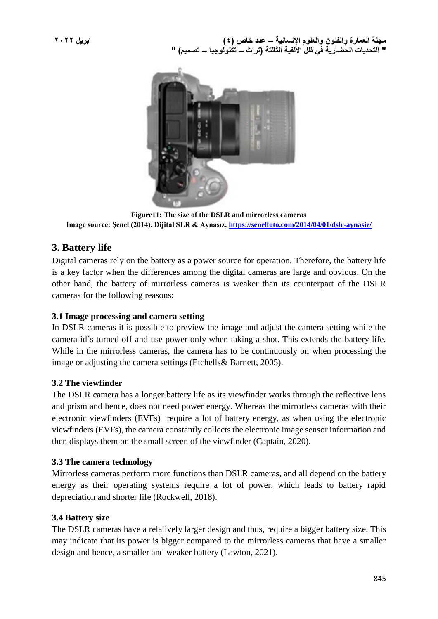

**Figure11: The size of the DSLR and mirrorless cameras Image source: Şenel (2014). Dijital SLR & Aynasız,<https://senelfoto.com/2014/04/01/dslr-aynasiz/>**

# **3. Battery life**

Digital cameras rely on the battery as a power source for operation. Therefore, the battery life is a key factor when the differences among the digital cameras are large and obvious. On the other hand, the battery of mirrorless cameras is weaker than its counterpart of the DSLR cameras for the following reasons:

### **3.1 Image processing and camera setting**

In DSLR cameras it is possible to preview the image and adjust the camera setting while the camera id´s turned off and use power only when taking a shot. This extends the battery life. While in the mirrorless cameras, the camera has to be continuously on when processing the image or adjusting the camera settings (Etchells& Barnett, 2005).

### **3.2 The viewfinder**

The DSLR camera has a longer battery life as its viewfinder works through the reflective lens and prism and hence, does not need power energy. Whereas the mirrorless cameras with their electronic viewfinders (EVFs) require a lot of battery energy, as when using the electronic viewfinders (EVFs), the camera constantly collects the electronic image sensor information and then displays them on the small screen of the viewfinder (Captain, 2020).

### **3.3 The camera technology**

Mirrorless cameras perform more functions than DSLR cameras, and all depend on the battery energy as their operating systems require a lot of power, which leads to battery rapid depreciation and shorter life (Rockwell, 2018).

### **3.4 Battery size**

The DSLR cameras have a relatively larger design and thus, require a bigger battery size. This may indicate that its power is bigger compared to the mirrorless cameras that have a smaller design and hence, a smaller and weaker battery (Lawton, 2021).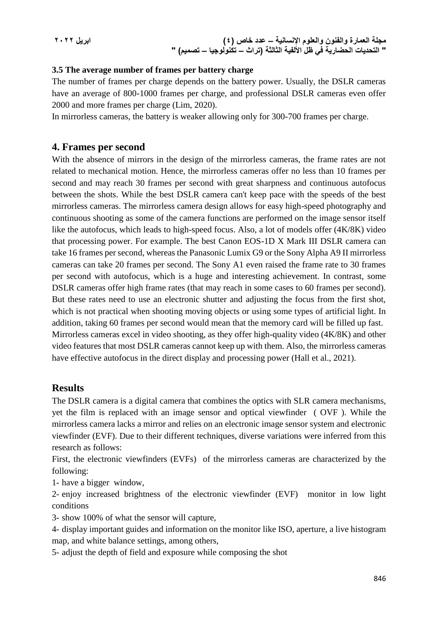$$
\mathbf{y} \cdot \mathbf{y} \mathbf{y} = \mathbf{y} \cdot \mathbf{y}
$$

### **3.5 The average number of frames per battery charge**

The number of frames per charge depends on the battery power. Usually, the DSLR cameras have an average of 800-1000 frames per charge, and professional DSLR cameras even offer 2000 and more frames per charge (Lim, 2020).

In mirrorless cameras, the battery is weaker allowing only for 300-700 frames per charge.

### **4. Frames per second**

With the absence of mirrors in the design of the mirrorless cameras, the frame rates are not related to mechanical motion. Hence, the mirrorless cameras offer no less than 10 frames per second and may reach 30 frames per second with great sharpness and continuous autofocus between the shots. While the best DSLR camera can't keep pace with the speeds of the best mirrorless cameras. The mirrorless camera design allows for easy high-speed photography and continuous shooting as some of the camera functions are performed on the image sensor itself like the autofocus, which leads to high-speed focus. Also, a lot of models offer (4K/8K) video that processing power. For example. The best Canon EOS-1D X Mark III DSLR camera can take 16 frames per second, whereas the Panasonic Lumix G9 or the Sony Alpha A9 II mirrorless cameras can take 20 frames per second. The Sony A1 even raised the frame rate to 30 frames per second with autofocus, which is a huge and interesting achievement. In contrast, some DSLR cameras offer high frame rates (that may reach in some cases to 60 frames per second). But these rates need to use an electronic shutter and adjusting the focus from the first shot, which is not practical when shooting moving objects or using some types of artificial light. In addition, taking 60 frames per second would mean that the memory card will be filled up fast. Mirrorless cameras excel in video shooting, as they offer high-quality video (4K/8K) and other video features that most DSLR cameras cannot keep up with them. Also, the mirrorless cameras have effective autofocus in the direct display and processing power (Hall et al., 2021).

### **Results**

The DSLR camera is a digital camera that combines the optics with SLR camera mechanisms, yet the film is replaced with an image sensor and optical viewfinder ( OVF ). While the mirrorless camera lacks a mirror and relies on an electronic image sensor system and electronic viewfinder (EVF). Due to their different techniques, diverse variations were inferred from this research as follows:

First, the electronic viewfinders (EVFs) of the mirrorless cameras are characterized by the following:

1- have a bigger window,

2- enjoy increased brightness of the electronic viewfinder (EVF) monitor in low light conditions

3- show 100% of what the sensor will capture,

4- display important guides and information on the monitor like ISO, aperture, a live histogram map, and white balance settings, among others,

5- adjust the depth of field and exposure while composing the shot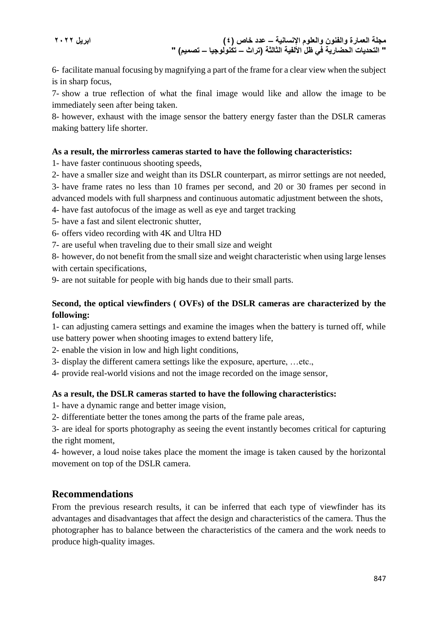6- facilitate manual focusing by magnifying a part of the frame for a clear view when the subject is in sharp focus,

7- show a true reflection of what the final image would like and allow the image to be immediately seen after being taken.

8- however, exhaust with the image sensor the battery energy faster than the DSLR cameras making battery life shorter.

### **As a result, the mirrorless cameras started to have the following characteristics:**

1- have faster continuous shooting speeds,

2- have a smaller size and weight than its DSLR counterpart, as mirror settings are not needed,

3- have frame rates no less than 10 frames per second, and 20 or 30 frames per second in advanced models with full sharpness and continuous automatic adjustment between the shots,

4- have fast autofocus of the image as well as eye and target tracking

5- have a fast and silent electronic shutter,

6- offers video recording with 4K and Ultra HD

7- are useful when traveling due to their small size and weight

8- however, do not benefit from the small size and weight characteristic when using large lenses with certain specifications,

9- are not suitable for people with big hands due to their small parts.

### **Second, the optical viewfinders ( OVFs) of the DSLR cameras are characterized by the following:**

1- can adjusting camera settings and examine the images when the battery is turned off, while use battery power when shooting images to extend battery life,

2- enable the vision in low and high light conditions,

3- display the different camera settings like the exposure, aperture, …etc.,

4- provide real-world visions and not the image recorded on the image sensor,

### **As a result, the DSLR cameras started to have the following characteristics:**

1- have a dynamic range and better image vision,

2- differentiate better the tones among the parts of the frame pale areas,

3- are ideal for sports photography as seeing the event instantly becomes critical for capturing the right moment,

4- however, a loud noise takes place the moment the image is taken caused by the horizontal movement on top of the DSLR camera.

# **Recommendations**

From the previous research results, it can be inferred that each type of viewfinder has its advantages and disadvantages that affect the design and characteristics of the camera. Thus the photographer has to balance between the characteristics of the camera and the work needs to produce high-quality images.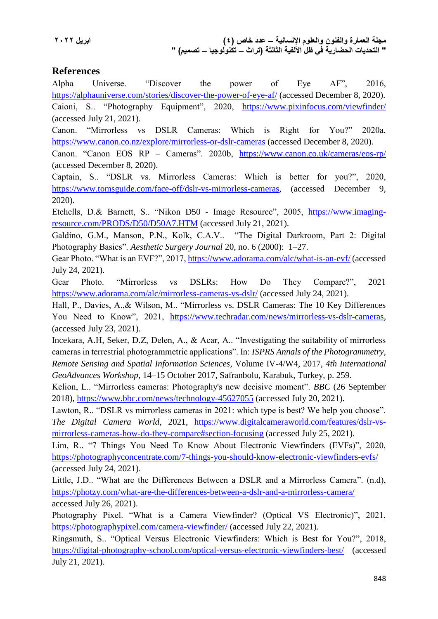# **References**

Alpha Universe. "Discover the power of Eye AF", 2016, <https://alphauniverse.com/stories/discover-the-power-of-eye-af/> (accessed December 8, 2020). Caioni, S.. "Photography Equipment", 2020, <https://www.pixinfocus.com/viewfinder/> (accessed July 21, 2021).

Canon. "Mirrorless vs DSLR Cameras: Which is Right for You?" 2020a, <https://www.canon.co.nz/explore/mirrorless-or-dslr-cameras> (accessed December 8, 2020).

Canon. "Canon EOS RP – Cameras". 2020b, <https://www.canon.co.uk/cameras/eos-rp/> (accessed December 8, 2020).

Captain, S.. "DSLR vs. Mirrorless Cameras: Which is better for you?", 2020, [https://www.tomsguide.com/face-off/dslr-vs-mirrorless-cameras,](https://www.tomsguide.com/face-off/dslr-vs-mirrorless-cameras) (accessed December 9, 2020).

Etchells, D.& Barnett, S.. "Nikon D50 - Image Resource", 2005, [https://www.imaging](https://www.imaging-resource.com/PRODS/D50/D50A7.HTM)[resource.com/PRODS/D50/D50A7.HTM](https://www.imaging-resource.com/PRODS/D50/D50A7.HTM) (accessed July 21, 2021).

Galdino, G.M., Manson, P.N., Kolk, C.A.V.. "The Digital Darkroom, Part 2: Digital Photography Basics". *Aesthetic Surgery Journal* 20, no. 6 (2000): 1–27.

Gear Photo. "What is an EVF?", 2017,<https://www.adorama.com/alc/what-is-an-evf/> (accessed July 24, 2021).

Gear Photo. "Mirrorless vs DSLRs: How Do They Compare?", 2021 <https://www.adorama.com/alc/mirrorless-cameras-vs-dslr/> (accessed July 24, 2021).

Hall, P., Davies, A.,& Wilson, M.. "Mirrorless vs. DSLR Cameras: The 10 Key Differences You Need to Know", 2021, [https://www.techradar.com/news/mirrorless-vs-dslr-cameras,](https://www.techradar.com/news/mirrorless-vs-dslr-cameras) (accessed July 23, 2021).

Incekara, A.H, Seker, D.Z, Delen, A., & Acar, A.. "Investigating the suitability of mirrorless cameras in terrestrial photogrammetric applications". In: *ISPRS Annals of the Photogrammetry, Remote Sensing and Spatial Information Sciences*, Volume IV-4/W4, 2017, *4th International GeoAdvances Workshop*, 14–15 October 2017, Safranbolu, Karabuk, Turkey, p. 259.

Kelion, L.. "Mirrorless cameras: Photography's new decisive moment". *BBC* (26 September 2018),<https://www.bbc.com/news/technology-45627055> (accessed July 20, 2021).

Lawton, R.. "DSLR vs mirrorless cameras in 2021: which type is best? We help you choose". *The Digital Camera World*, 2021, [https://www.digitalcameraworld.com/features/dslr-vs](https://www.digitalcameraworld.com/features/dslr-vs-mirrorless-cameras-how-do-they-compare#section-focusing)[mirrorless-cameras-how-do-they-compare#section-focusing](https://www.digitalcameraworld.com/features/dslr-vs-mirrorless-cameras-how-do-they-compare#section-focusing) (accessed July 25, 2021).

Lim, R.. "7 Things You Need To Know About Electronic Viewfinders (EVFs)", 2020, <https://photographyconcentrate.com/7-things-you-should-know-electronic-viewfinders-evfs/> (accessed July 24, 2021).

Little, J.D.. "What are the Differences Between a DSLR and a Mirrorless Camera". (n.d), <https://photzy.com/what-are-the-differences-between-a-dslr-and-a-mirrorless-camera/> accessed July 26, 2021).

Photography Pixel. "What is a Camera Viewfinder? (Optical VS Electronic)", 2021, <https://photographypixel.com/camera-viewfinder/> (accessed July 22, 2021).

Ringsmuth, S.. "Optical Versus Electronic Viewfinders: Which is Best for You?", 2018, <https://digital-photography-school.com/optical-versus-electronic-viewfinders-best/> (accessed July 21, 2021).